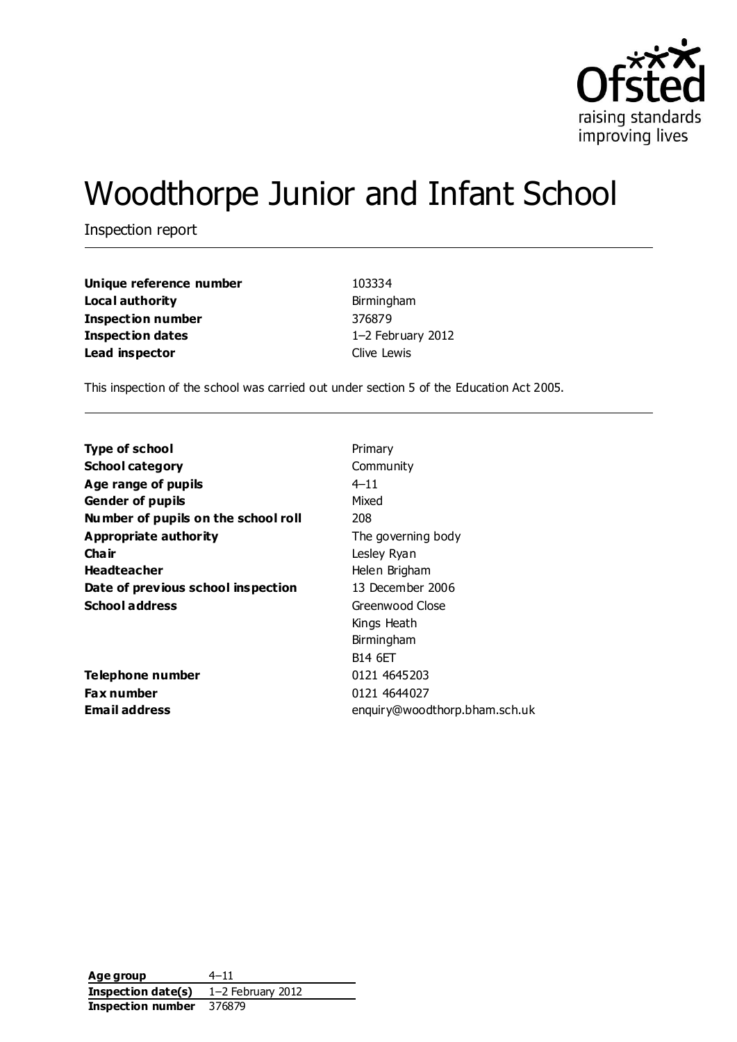

# Woodthorpe Junior and Infant School

Inspection report

**Unique reference number** 103334 **Local authority Birmingham Inspection number** 376879 **Inspection dates** 1–2 February 2012 **Lead inspector** Clive Lewis

This inspection of the school was carried out under section 5 of the Education Act 2005.

| <b>Type of school</b>               | Primary                       |
|-------------------------------------|-------------------------------|
| <b>School category</b>              | Community                     |
| Age range of pupils                 | $4 - 11$                      |
| <b>Gender of pupils</b>             | Mixed                         |
| Number of pupils on the school roll | 208                           |
| Appropriate authority               | The governing body            |
| Cha ir                              | Lesley Ryan                   |
| <b>Headteacher</b>                  | Helen Brigham                 |
| Date of previous school inspection  | 13 December 2006              |
| <b>School address</b>               | Greenwood Close               |
|                                     | Kings Heath                   |
|                                     | Birmingham                    |
|                                     | <b>B14 6ET</b>                |
| Telephone number                    | 0121 4645203                  |
| Fax number                          | 0121 4644027                  |
| Email address                       | enquiry@woodthorp.bham.sch.uk |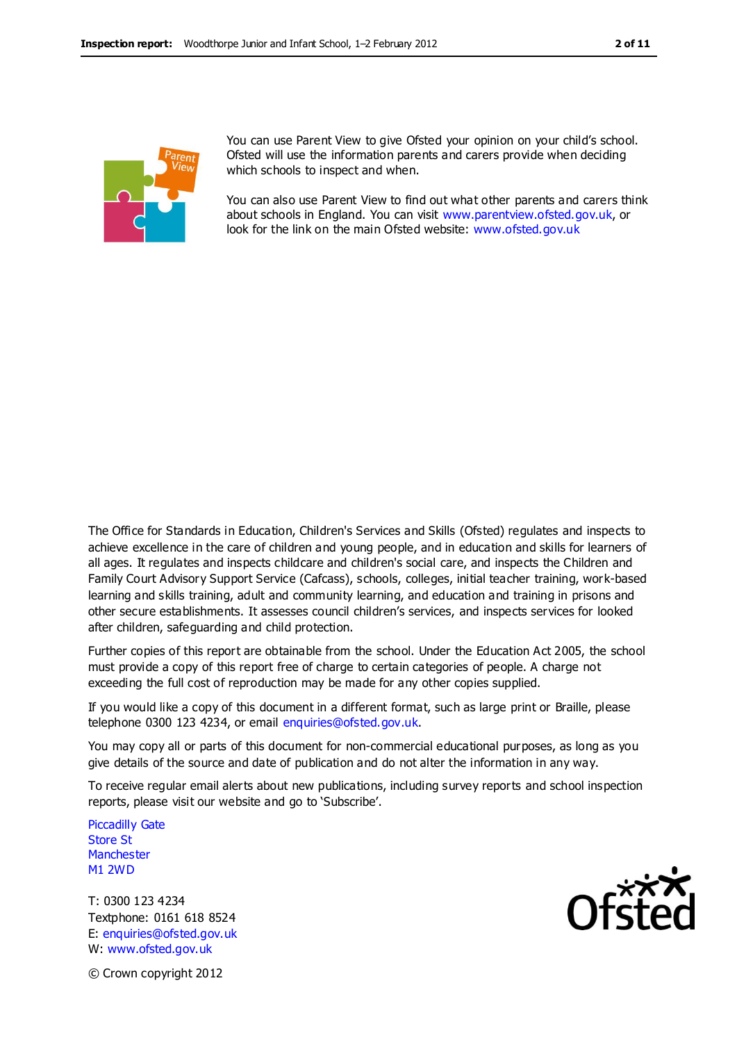

You can use Parent View to give Ofsted your opinion on your child's school. Ofsted will use the information parents and carers provide when deciding which schools to inspect and when.

You can also use Parent View to find out what other parents and carers think about schools in England. You can visit [www.parentview.ofsted.gov.uk,](http://www.parentview.ofsted.gov.uk/) or look for the link on the main Ofsted website: [www.ofsted.gov.uk](http://www.ofsted.gov.uk/)

The Office for Standards in Education, Children's Services and Skills (Ofsted) regulates and inspects to achieve excellence in the care of children and young people, and in education and skills for learners of all ages. It regulates and inspects childcare and children's social care, and inspects the Children and Family Court Advisory Support Service (Cafcass), schools, colleges, initial teacher training, work-based learning and skills training, adult and community learning, and education and training in prisons and other secure establishments. It assesses council children's services, and inspects services for looked after children, safeguarding and child protection.

Further copies of this report are obtainable from the school. Under the Education Act 2005, the school must provide a copy of this report free of charge to certain categories of people. A charge not exceeding the full cost of reproduction may be made for any other copies supplied.

If you would like a copy of this document in a different format, such as large print or Braille, please telephone 0300 123 4234, or email enquiries@ofsted.gov.uk.

You may copy all or parts of this document for non-commercial educational purposes, as long as you give details of the source and date of publication and do not alter the information in any way.

To receive regular email alerts about new publications, including survey reports and school inspection reports, please visit our website and go to 'Subscribe'.

Piccadilly Gate Store St **Manchester** M1 2WD

T: 0300 123 4234 Textphone: 0161 618 8524 E: enquiries@ofsted.gov.uk W: www.ofsted.gov.uk



© Crown copyright 2012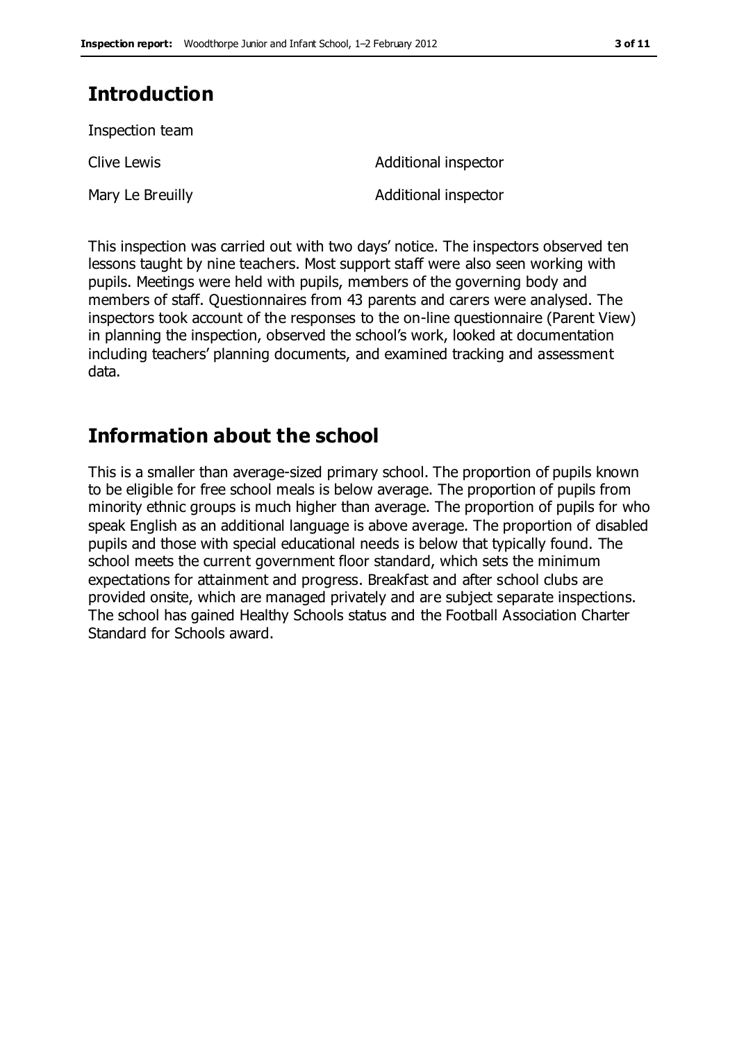# **Introduction**

Inspection team

Clive Lewis **Additional inspector** 

Mary Le Breuilly **Additional inspector** 

This inspection was carried out with two days' notice. The inspectors observed ten lessons taught by nine teachers. Most support staff were also seen working with pupils. Meetings were held with pupils, members of the governing body and members of staff. Questionnaires from 43 parents and carers were analysed. The inspectors took account of the responses to the on-line questionnaire (Parent View) in planning the inspection, observed the school's work, looked at documentation including teachers' planning documents, and examined tracking and assessment data.

# **Information about the school**

This is a smaller than average-sized primary school. The proportion of pupils known to be eligible for free school meals is below average. The proportion of pupils from minority ethnic groups is much higher than average. The proportion of pupils for who speak English as an additional language is above average. The proportion of disabled pupils and those with special educational needs is below that typically found. The school meets the current government floor standard, which sets the minimum expectations for attainment and progress. Breakfast and after school clubs are provided onsite, which are managed privately and are subject separate inspections. The school has gained Healthy Schools status and the Football Association Charter Standard for Schools award.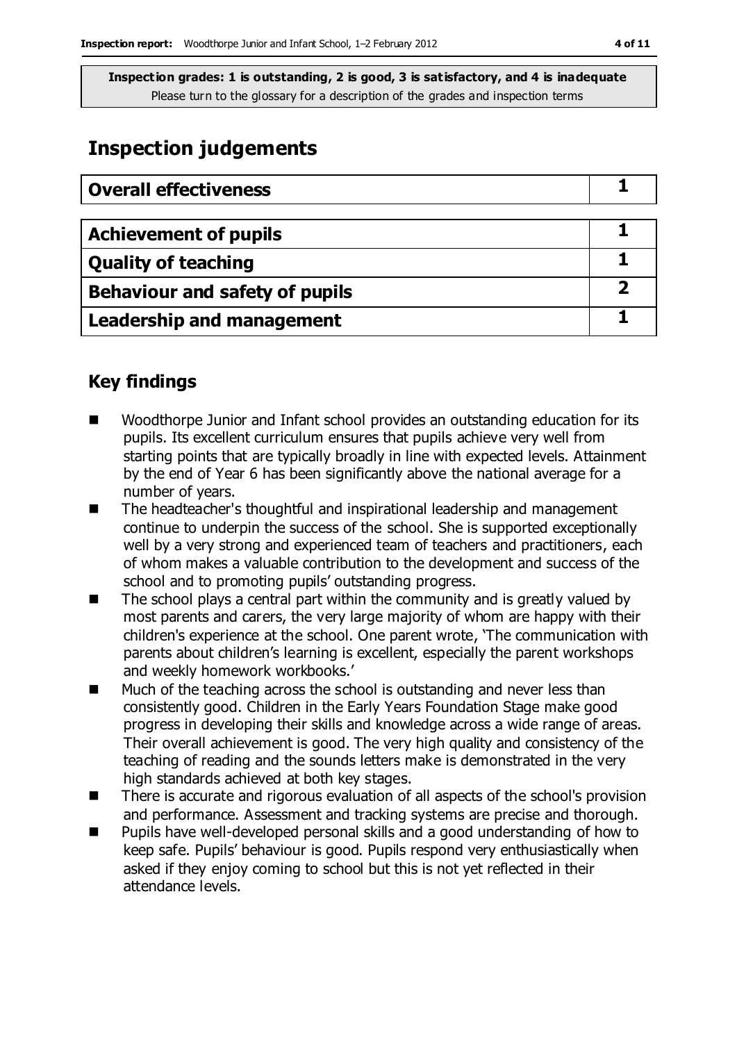# **Inspection judgements**

| <b>Overall effectiveness</b>     |  |
|----------------------------------|--|
|                                  |  |
| <b>Achievement of pupils</b>     |  |
| <b>Quality of teaching</b>       |  |
| Behaviour and safety of pupils   |  |
| <b>Leadership and management</b> |  |

## **Key findings**

- Woodthorpe Junior and Infant school provides an outstanding education for its pupils. Its excellent curriculum ensures that pupils achieve very well from starting points that are typically broadly in line with expected levels. Attainment by the end of Year 6 has been significantly above the national average for a number of years.
- The headteacher's thoughtful and inspirational leadership and management continue to underpin the success of the school. She is supported exceptionally well by a very strong and experienced team of teachers and practitioners, each of whom makes a valuable contribution to the development and success of the school and to promoting pupils' outstanding progress.
- $\blacksquare$  The school plays a central part within the community and is greatly valued by most parents and carers, the very large majority of whom are happy with their children's experience at the school. One parent wrote, 'The communication with parents about children's learning is excellent, especially the parent workshops and weekly homework workbooks.'
- Much of the teaching across the school is outstanding and never less than consistently good. Children in the Early Years Foundation Stage make good progress in developing their skills and knowledge across a wide range of areas. Their overall achievement is good. The very high quality and consistency of the teaching of reading and the sounds letters make is demonstrated in the very high standards achieved at both key stages.
- There is accurate and rigorous evaluation of all aspects of the school's provision and performance. Assessment and tracking systems are precise and thorough.
- Pupils have well-developed personal skills and a good understanding of how to keep safe. Pupils' behaviour is good. Pupils respond very enthusiastically when asked if they enjoy coming to school but this is not yet reflected in their attendance levels.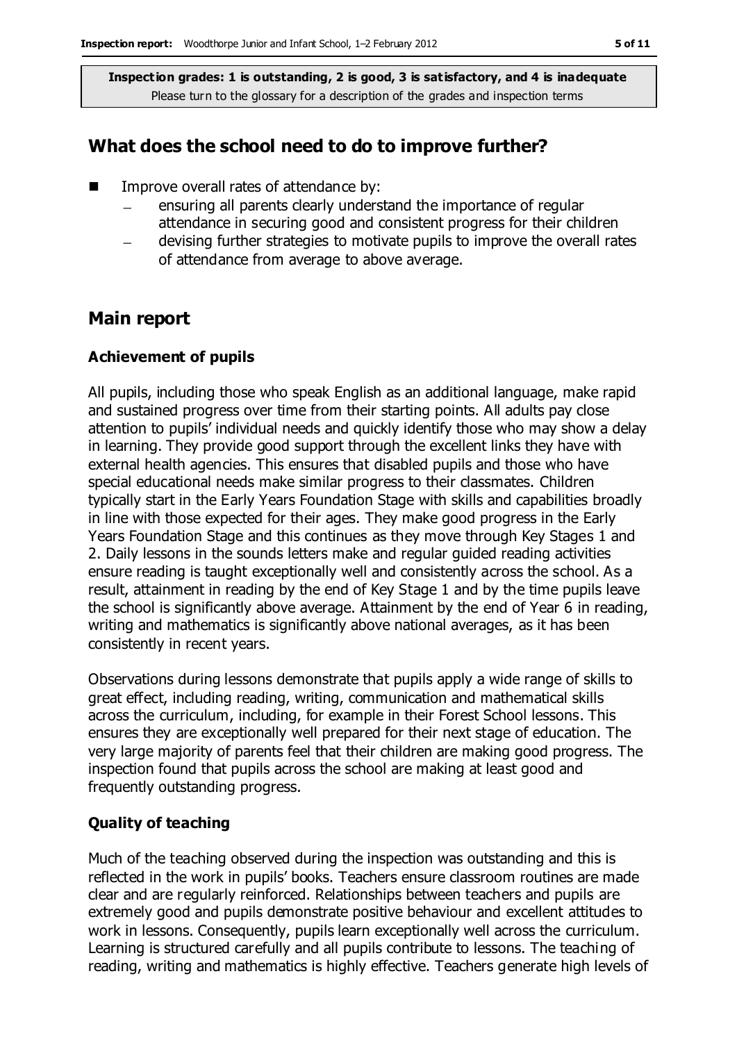#### **What does the school need to do to improve further?**

- **IMPROPE OF IMPROPE IN THE IMPROPERT** Improve overall rates of attendance by:
	- ensuring all parents clearly understand the importance of regular attendance in securing good and consistent progress for their children
	- devising further strategies to motivate pupils to improve the overall rates of attendance from average to above average.

#### **Main report**

#### **Achievement of pupils**

All pupils, including those who speak English as an additional language, make rapid and sustained progress over time from their starting points. All adults pay close attention to pupils' individual needs and quickly identify those who may show a delay in learning. They provide good support through the excellent links they have with external health agencies. This ensures that disabled pupils and those who have special educational needs make similar progress to their classmates. Children typically start in the Early Years Foundation Stage with skills and capabilities broadly in line with those expected for their ages. They make good progress in the Early Years Foundation Stage and this continues as they move through Key Stages 1 and 2. Daily lessons in the sounds letters make and regular guided reading activities ensure reading is taught exceptionally well and consistently across the school. As a result, attainment in reading by the end of Key Stage 1 and by the time pupils leave the school is significantly above average. Attainment by the end of Year 6 in reading, writing and mathematics is significantly above national averages, as it has been consistently in recent years.

Observations during lessons demonstrate that pupils apply a wide range of skills to great effect, including reading, writing, communication and mathematical skills across the curriculum, including, for example in their Forest School lessons. This ensures they are exceptionally well prepared for their next stage of education. The very large majority of parents feel that their children are making good progress. The inspection found that pupils across the school are making at least good and frequently outstanding progress.

#### **Quality of teaching**

Much of the teaching observed during the inspection was outstanding and this is reflected in the work in pupils' books. Teachers ensure classroom routines are made clear and are regularly reinforced. Relationships between teachers and pupils are extremely good and pupils demonstrate positive behaviour and excellent attitudes to work in lessons. Consequently, pupils learn exceptionally well across the curriculum. Learning is structured carefully and all pupils contribute to lessons. The teaching of reading, writing and mathematics is highly effective. Teachers generate high levels of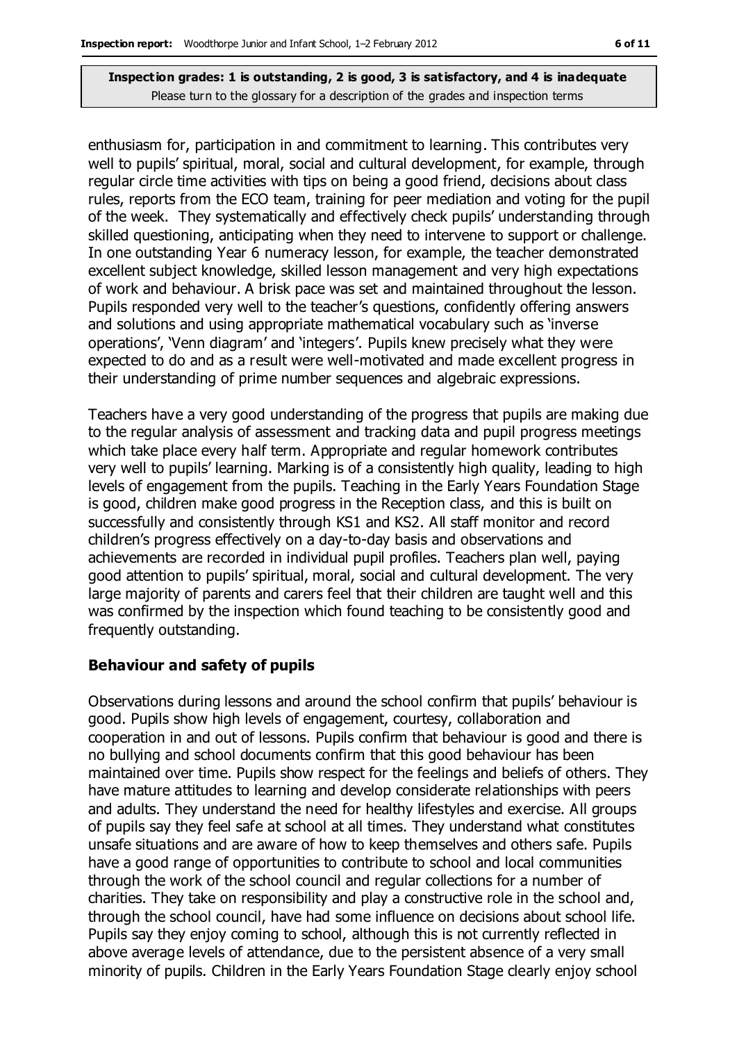enthusiasm for, participation in and commitment to learning. This contributes very well to pupils' spiritual, moral, social and cultural development, for example, through regular circle time activities with tips on being a good friend, decisions about class rules, reports from the ECO team, training for peer mediation and voting for the pupil of the week. They systematically and effectively check pupils' understanding through skilled questioning, anticipating when they need to intervene to support or challenge. In one outstanding Year 6 numeracy lesson, for example, the teacher demonstrated excellent subject knowledge, skilled lesson management and very high expectations of work and behaviour. A brisk pace was set and maintained throughout the lesson. Pupils responded very well to the teacher's questions, confidently offering answers and solutions and using appropriate mathematical vocabulary such as 'inverse operations', 'Venn diagram' and 'integers'. Pupils knew precisely what they were expected to do and as a result were well-motivated and made excellent progress in their understanding of prime number sequences and algebraic expressions.

Teachers have a very good understanding of the progress that pupils are making due to the regular analysis of assessment and tracking data and pupil progress meetings which take place every half term. Appropriate and regular homework contributes very well to pupils' learning. Marking is of a consistently high quality, leading to high levels of engagement from the pupils. Teaching in the Early Years Foundation Stage is good, children make good progress in the Reception class, and this is built on successfully and consistently through KS1 and KS2. All staff monitor and record children's progress effectively on a day-to-day basis and observations and achievements are recorded in individual pupil profiles. Teachers plan well, paying good attention to pupils' spiritual, moral, social and cultural development. The very large majority of parents and carers feel that their children are taught well and this was confirmed by the inspection which found teaching to be consistently good and frequently outstanding.

#### **Behaviour and safety of pupils**

Observations during lessons and around the school confirm that pupils' behaviour is good. Pupils show high levels of engagement, courtesy, collaboration and cooperation in and out of lessons. Pupils confirm that behaviour is good and there is no bullying and school documents confirm that this good behaviour has been maintained over time. Pupils show respect for the feelings and beliefs of others. They have mature attitudes to learning and develop considerate relationships with peers and adults. They understand the need for healthy lifestyles and exercise. All groups of pupils say they feel safe at school at all times. They understand what constitutes unsafe situations and are aware of how to keep themselves and others safe. Pupils have a good range of opportunities to contribute to school and local communities through the work of the school council and regular collections for a number of charities. They take on responsibility and play a constructive role in the school and, through the school council, have had some influence on decisions about school life. Pupils say they enjoy coming to school, although this is not currently reflected in above average levels of attendance, due to the persistent absence of a very small minority of pupils. Children in the Early Years Foundation Stage clearly enjoy school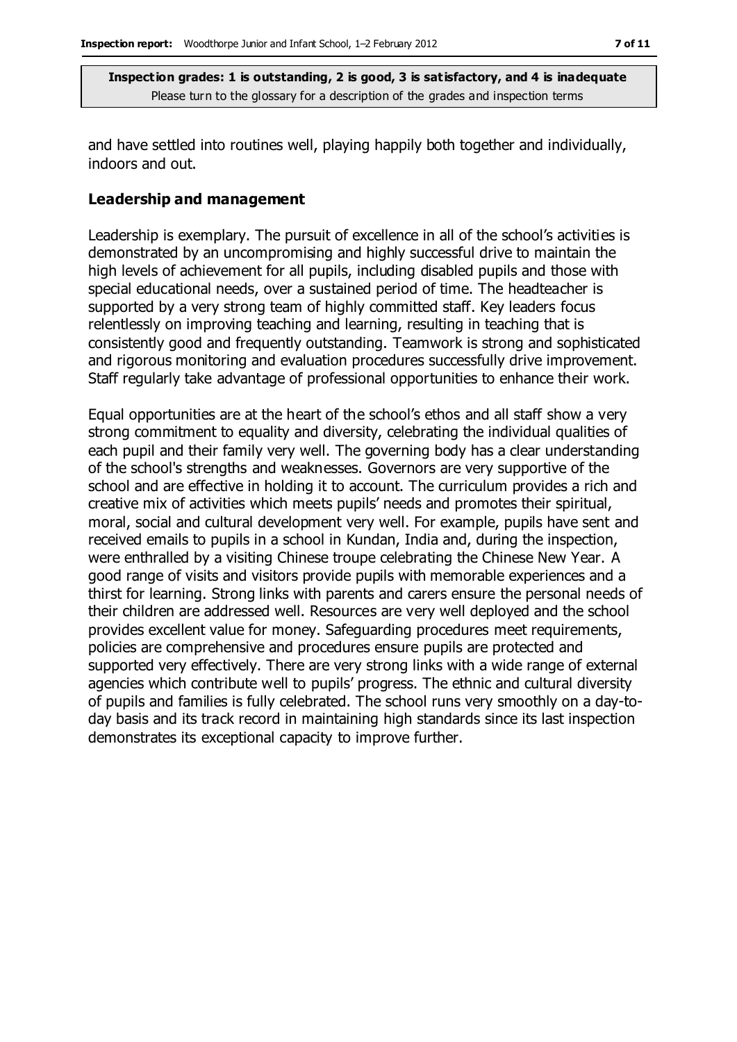and have settled into routines well, playing happily both together and individually, indoors and out.

#### **Leadership and management**

Leadership is exemplary. The pursuit of excellence in all of the school's activities is demonstrated by an uncompromising and highly successful drive to maintain the high levels of achievement for all pupils, including disabled pupils and those with special educational needs, over a sustained period of time. The headteacher is supported by a very strong team of highly committed staff. Key leaders focus relentlessly on improving teaching and learning, resulting in teaching that is consistently good and frequently outstanding. Teamwork is strong and sophisticated and rigorous monitoring and evaluation procedures successfully drive improvement. Staff regularly take advantage of professional opportunities to enhance their work.

Equal opportunities are at the heart of the school's ethos and all staff show a very strong commitment to equality and diversity, celebrating the individual qualities of each pupil and their family very well. The governing body has a clear understanding of the school's strengths and weaknesses. Governors are very supportive of the school and are effective in holding it to account. The curriculum provides a rich and creative mix of activities which meets pupils' needs and promotes their spiritual, moral, social and cultural development very well. For example, pupils have sent and received emails to pupils in a school in Kundan, India and, during the inspection, were enthralled by a visiting Chinese troupe celebrating the Chinese New Year. A good range of visits and visitors provide pupils with memorable experiences and a thirst for learning. Strong links with parents and carers ensure the personal needs of their children are addressed well. Resources are very well deployed and the school provides excellent value for money. Safeguarding procedures meet requirements, policies are comprehensive and procedures ensure pupils are protected and supported very effectively. There are very strong links with a wide range of external agencies which contribute well to pupils' progress. The ethnic and cultural diversity of pupils and families is fully celebrated. The school runs very smoothly on a day-today basis and its track record in maintaining high standards since its last inspection demonstrates its exceptional capacity to improve further.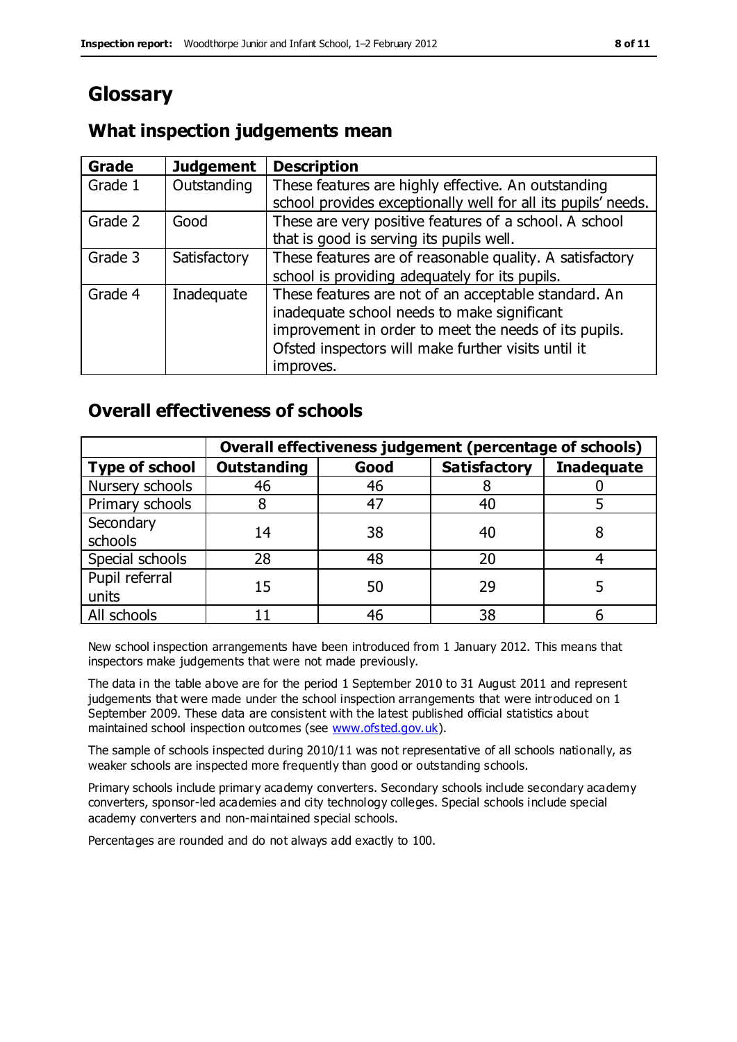# **Glossary**

### **What inspection judgements mean**

| Grade   | <b>Judgement</b> | <b>Description</b>                                            |
|---------|------------------|---------------------------------------------------------------|
| Grade 1 | Outstanding      | These features are highly effective. An outstanding           |
|         |                  | school provides exceptionally well for all its pupils' needs. |
| Grade 2 | Good             | These are very positive features of a school. A school        |
|         |                  | that is good is serving its pupils well.                      |
| Grade 3 | Satisfactory     | These features are of reasonable quality. A satisfactory      |
|         |                  | school is providing adequately for its pupils.                |
| Grade 4 | Inadequate       | These features are not of an acceptable standard. An          |
|         |                  | inadequate school needs to make significant                   |
|         |                  | improvement in order to meet the needs of its pupils.         |
|         |                  | Ofsted inspectors will make further visits until it           |
|         |                  | improves.                                                     |

### **Overall effectiveness of schools**

|                       | Overall effectiveness judgement (percentage of schools) |      |                     |                   |
|-----------------------|---------------------------------------------------------|------|---------------------|-------------------|
| <b>Type of school</b> | <b>Outstanding</b>                                      | Good | <b>Satisfactory</b> | <b>Inadequate</b> |
| Nursery schools       | 46                                                      | 46   |                     |                   |
| Primary schools       |                                                         | 47   | 40                  |                   |
| Secondary             | 14                                                      | 38   | 40                  |                   |
| schools               |                                                         |      |                     |                   |
| Special schools       | 28                                                      | 48   | 20                  |                   |
| Pupil referral        | 15                                                      | 50   | 29                  |                   |
| units                 |                                                         |      |                     |                   |
| All schools           |                                                         | 46   | 38                  |                   |

New school inspection arrangements have been introduced from 1 January 2012. This means that inspectors make judgements that were not made previously.

The data in the table above are for the period 1 September 2010 to 31 August 2011 and represent judgements that were made under the school inspection arrangements that were introduced on 1 September 2009. These data are consistent with the latest published official statistics about maintained school inspection outcomes (see [www.ofsted.gov.uk\)](http://www.ofsted.gov.uk/).

The sample of schools inspected during 2010/11 was not representative of all schools nationally, as weaker schools are inspected more frequently than good or outstanding schools.

Primary schools include primary academy converters. Secondary schools include secondary academy converters, sponsor-led academies and city technology colleges. Special schools include special academy converters and non-maintained special schools.

Percentages are rounded and do not always add exactly to 100.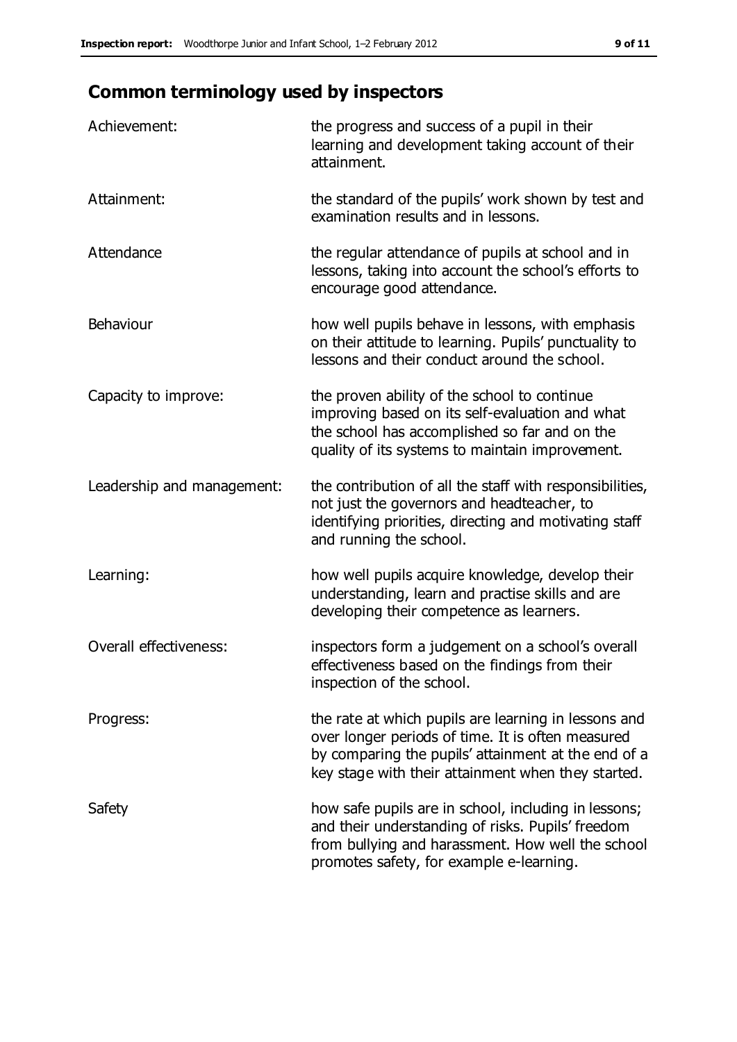# **Common terminology used by inspectors**

| Achievement:               | the progress and success of a pupil in their<br>learning and development taking account of their<br>attainment.                                                                                                        |
|----------------------------|------------------------------------------------------------------------------------------------------------------------------------------------------------------------------------------------------------------------|
| Attainment:                | the standard of the pupils' work shown by test and<br>examination results and in lessons.                                                                                                                              |
| Attendance                 | the regular attendance of pupils at school and in<br>lessons, taking into account the school's efforts to<br>encourage good attendance.                                                                                |
| Behaviour                  | how well pupils behave in lessons, with emphasis<br>on their attitude to learning. Pupils' punctuality to<br>lessons and their conduct around the school.                                                              |
| Capacity to improve:       | the proven ability of the school to continue<br>improving based on its self-evaluation and what<br>the school has accomplished so far and on the<br>quality of its systems to maintain improvement.                    |
| Leadership and management: | the contribution of all the staff with responsibilities,<br>not just the governors and headteacher, to<br>identifying priorities, directing and motivating staff<br>and running the school.                            |
| Learning:                  | how well pupils acquire knowledge, develop their<br>understanding, learn and practise skills and are<br>developing their competence as learners.                                                                       |
| Overall effectiveness:     | inspectors form a judgement on a school's overall<br>effectiveness based on the findings from their<br>inspection of the school.                                                                                       |
| Progress:                  | the rate at which pupils are learning in lessons and<br>over longer periods of time. It is often measured<br>by comparing the pupils' attainment at the end of a<br>key stage with their attainment when they started. |
| Safety                     | how safe pupils are in school, including in lessons;<br>and their understanding of risks. Pupils' freedom<br>from bullying and harassment. How well the school<br>promotes safety, for example e-learning.             |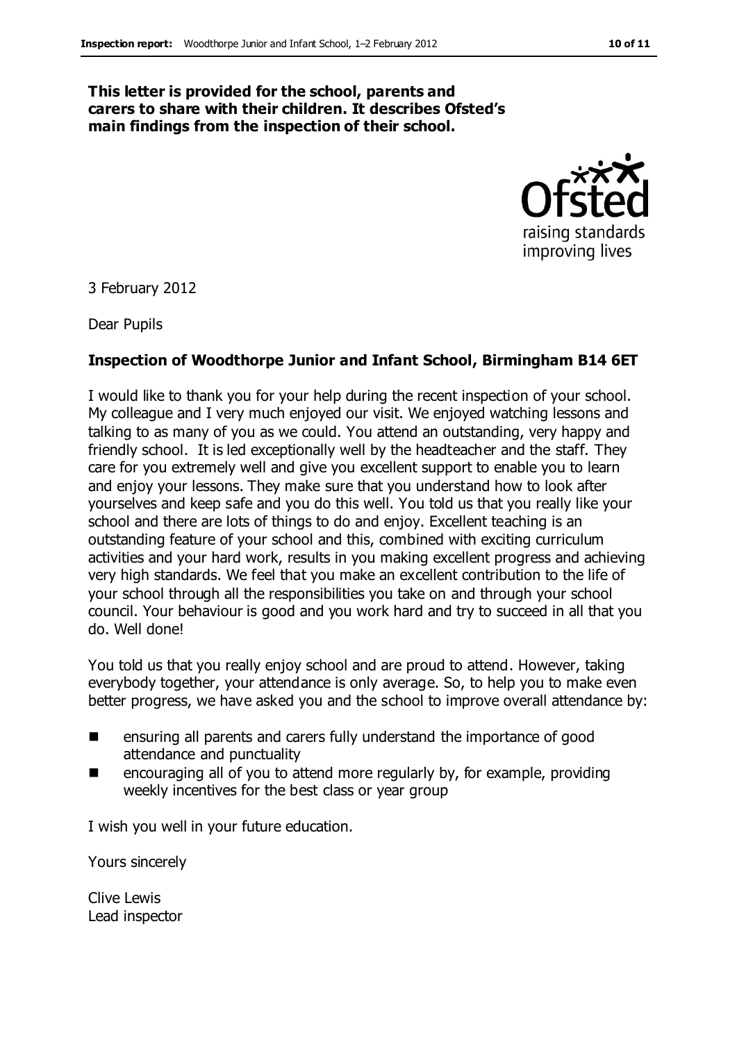#### **This letter is provided for the school, parents and carers to share with their children. It describes Ofsted's main findings from the inspection of their school.**



3 February 2012

Dear Pupils

#### **Inspection of Woodthorpe Junior and Infant School, Birmingham B14 6ET**

I would like to thank you for your help during the recent inspection of your school. My colleague and I very much enjoyed our visit. We enjoyed watching lessons and talking to as many of you as we could. You attend an outstanding, very happy and friendly school. It is led exceptionally well by the headteacher and the staff. They care for you extremely well and give you excellent support to enable you to learn and enjoy your lessons. They make sure that you understand how to look after yourselves and keep safe and you do this well. You told us that you really like your school and there are lots of things to do and enjoy. Excellent teaching is an outstanding feature of your school and this, combined with exciting curriculum activities and your hard work, results in you making excellent progress and achieving very high standards. We feel that you make an excellent contribution to the life of your school through all the responsibilities you take on and through your school council. Your behaviour is good and you work hard and try to succeed in all that you do. Well done!

You told us that you really enjoy school and are proud to attend. However, taking everybody together, your attendance is only average. So, to help you to make even better progress, we have asked you and the school to improve overall attendance by:

- ensuring all parents and carers fully understand the importance of good attendance and punctuality
- encouraging all of you to attend more regularly by, for example, providing weekly incentives for the best class or year group

I wish you well in your future education.

Yours sincerely

Clive Lewis Lead inspector